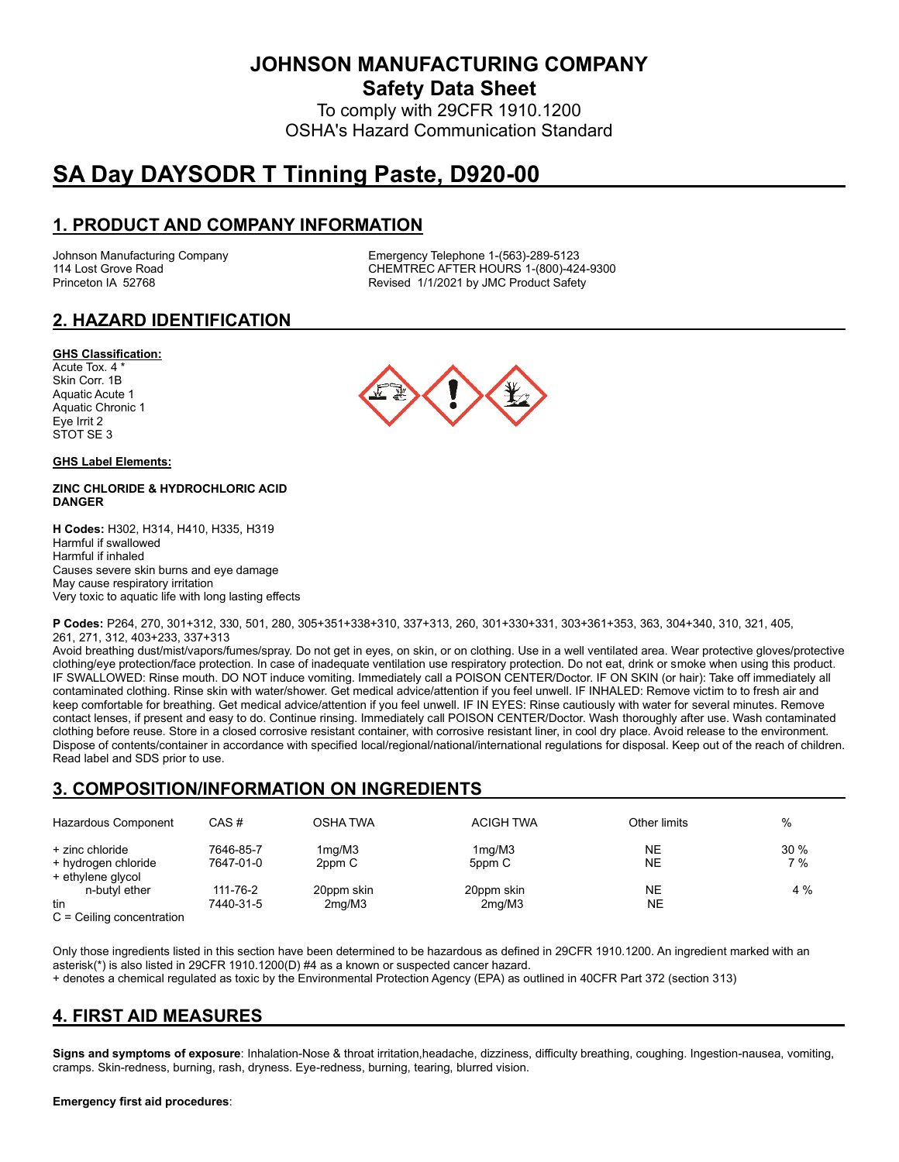**JOHNSON MANUFACTURING COMPANY**

**Safety Data Sheet**

To comply with 29CFR 1910.1200 OSHA's Hazard Communication Standard

# **SA Day DAYSODR T Tinning Paste, D920-00**

# **1. PRODUCT AND COMPANY INFORMATION**

Johnson Manufacturing Company Emergency Telephone 1-(563)-289-5123 114 Lost Grove Road Theory Chemister Chemister Chemister Chemister Chemister Chemister Chemister Chemister Chem<br>Chemister Chemister Revised 1/1/2021 by JMC Product Safety Revised 1/1/2021 by JMC Product Safety

# **2. HAZARD IDENTIFICATION**

#### **GHS Classification:**

Acute Tox. 4 \* Skin Corr. 1B Aquatic Acute 1 Aquatic Chronic 1 Eye Irrit 2 STOT SE 3

#### **GHS Label Elements:**

#### **ZINC CHLORIDE & HYDROCHLORIC ACID DANGER**

**H Codes:** H302, H314, H410, H335, H319 Harmful if swallowed Harmful if inhaled Causes severe skin burns and eye damage May cause respiratory irritation Very toxic to aquatic life with long lasting effects



**P Codes:** P264, 270, 301+312, 330, 501, 280, 305+351+338+310, 337+313, 260, 301+330+331, 303+361+353, 363, 304+340, 310, 321, 405, 261, 271, 312, 403+233, 337+313

Avoid breathing dust/mist/vapors/fumes/spray. Do not get in eyes, on skin, or on clothing. Use in a well ventilated area. Wear protective gloves/protective clothing/eye protection/face protection. In case of inadequate ventilation use respiratory protection. Do not eat, drink or smoke when using this product. IF SWALLOWED: Rinse mouth. DO NOT induce vomiting. Immediately call a POISON CENTER/Doctor. IF ON SKIN (or hair): Take off immediately all contaminated clothing. Rinse skin with water/shower. Get medical advice/attention if you feel unwell. IF INHALED: Remove victim to to fresh air and keep comfortable for breathing. Get medical advice/attention if you feel unwell. IF IN EYES: Rinse cautiously with water for several minutes. Remove contact lenses, if present and easy to do. Continue rinsing. Immediately call POISON CENTER/Doctor. Wash thoroughly after use. Wash contaminated clothing before reuse. Store in a closed corrosive resistant container, with corrosive resistant liner, in cool dry place. Avoid release to the environment. Dispose of contents/container in accordance with specified local/regional/national/international regulations for disposal. Keep out of the reach of children. Read label and SDS prior to use.

# **3. COMPOSITION/INFORMATION ON INGREDIENTS**

| Hazardous Component                      | CAS#      | OSHA TWA            | <b>ACIGH TWA</b> | Other limits | $\%$ |
|------------------------------------------|-----------|---------------------|------------------|--------------|------|
| + zinc chloride                          | 7646-85-7 | 1mg/M3              | 1mg/M3           | NE           | 30%  |
| + hydrogen chloride<br>+ ethylene glycol | 7647-01-0 | 2ppm C              | 5ppm C           | NE           | 7 %  |
| n-butyl ether                            | 111-76-2  | 20ppm skin          | 20ppm skin       | NE           | 4 %  |
| tin<br>$\sim$ $\sim$ $\cdot\cdot\cdot$   | 7440-31-5 | 2 <sub>mq</sub> /M3 | 2mq/M3           | NE.          |      |

C = Ceiling concentration

Only those ingredients listed in this section have been determined to be hazardous as defined in 29CFR 1910.1200. An ingredient marked with an asterisk(\*) is also listed in 29CFR 1910.1200(D) #4 as a known or suspected cancer hazard.

+ denotes a chemical regulated as toxic by the Environmental Protection Agency (EPA) as outlined in 40CFR Part 372 (section 313)

# **4. FIRST AID MEASURES**

**Signs and symptoms of exposure**: Inhalation-Nose & throat irritation,headache, dizziness, difficulty breathing, coughing. Ingestion-nausea, vomiting, cramps. Skin-redness, burning, rash, dryness. Eye-redness, burning, tearing, blurred vision.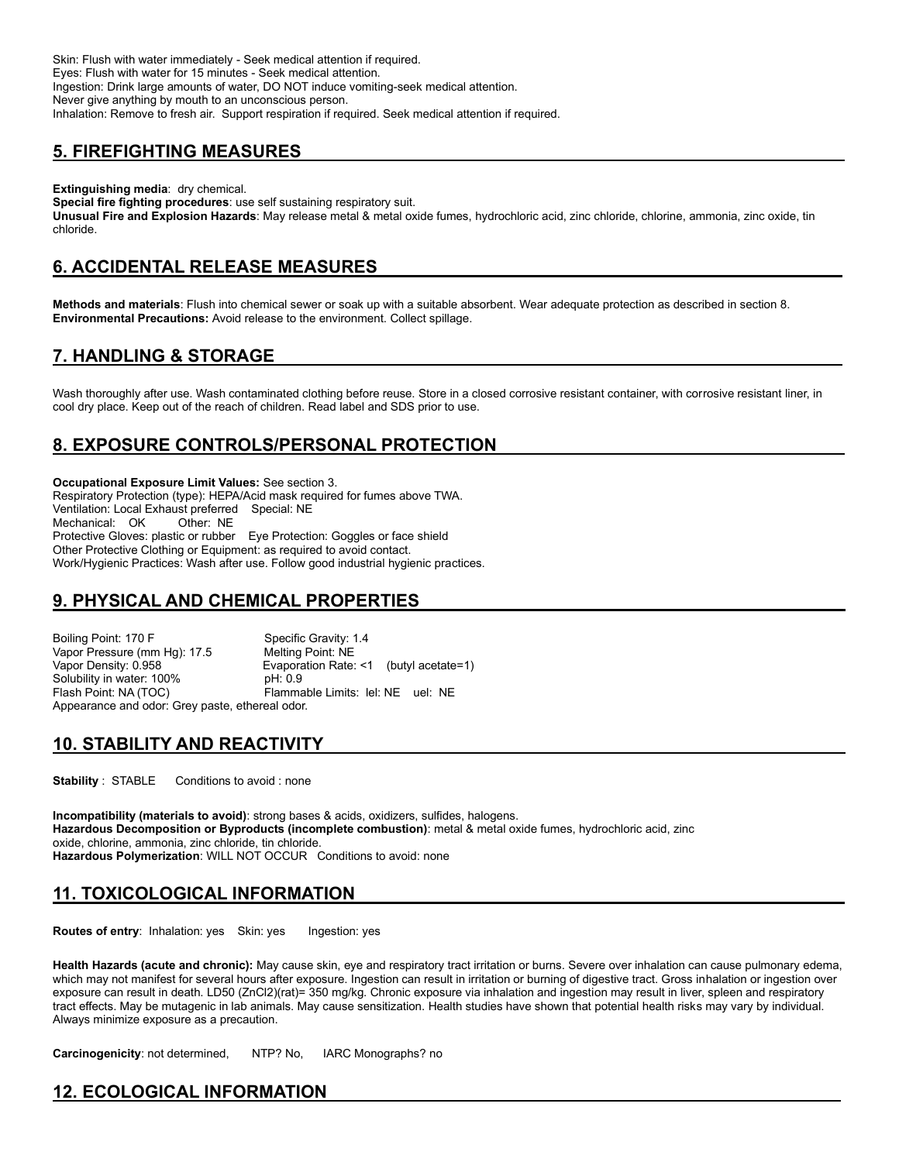Skin: Flush with water immediately - Seek medical attention if required. Eyes: Flush with water for 15 minutes - Seek medical attention. Ingestion: Drink large amounts of water, DO NOT induce vomiting-seek medical attention. Never give anything by mouth to an unconscious person. Inhalation: Remove to fresh air. Support respiration if required. Seek medical attention if required.

# **5. FIREFIGHTING MEASURES**

**Extinguishing media**: dry chemical. **Special fire fighting procedures**: use self sustaining respiratory suit. **Unusual Fire and Explosion Hazards**: May release metal & metal oxide fumes, hydrochloric acid, zinc chloride, chlorine, ammonia, zinc oxide, tin chloride.

# **6. ACCIDENTAL RELEASE MEASURES**

**Methods and materials**: Flush into chemical sewer or soak up with a suitable absorbent. Wear adequate protection as described in section 8. **Environmental Precautions:** Avoid release to the environment. Collect spillage.

# **7. HANDLING & STORAGE**

Wash thoroughly after use. Wash contaminated clothing before reuse. Store in a closed corrosive resistant container, with corrosive resistant liner, in cool dry place. Keep out of the reach of children. Read label and SDS prior to use.

# **8. EXPOSURE CONTROLS/PERSONAL PROTECTION**

**Occupational Exposure Limit Values:** See section 3. Respiratory Protection (type): HEPA/Acid mask required for fumes above TWA. Ventilation: Local Exhaust preferred Special: NE Mechanical: OK Other: NE Protective Gloves: plastic or rubber Eye Protection: Goggles or face shield Other Protective Clothing or Equipment: as required to avoid contact. Work/Hygienic Practices: Wash after use. Follow good industrial hygienic practices.

# **9. PHYSICAL AND CHEMICAL PROPERTIES**

Boiling Point: 170 F<br>Vapor Pressure (mm Hq): 17.5 Melting Point: NE Vapor Pressure (mm Hg): 17.5<br>Vapor Density: 0.958 Evaporation Rate:  $\leq 1$  (butyl acetate=1) Solubility in water: 100% pH: 0.9 Flash Point: NA (TOC) Flammable Limits: lel: NE uel: NE Appearance and odor: Grey paste, ethereal odor.

# **10. STABILITY AND REACTIVITY**

**Stability** : STABLE Conditions to avoid : none

**Incompatibility (materials to avoid)**: strong bases & acids, oxidizers, sulfides, halogens. **Hazardous Decomposition or Byproducts (incomplete combustion)**: metal & metal oxide fumes, hydrochloric acid, zinc oxide, chlorine, ammonia, zinc chloride, tin chloride. **Hazardous Polymerization**: WILL NOT OCCUR Conditions to avoid: none

# **11. TOXICOLOGICAL INFORMATION**

**Routes of entry:** Inhalation: yes Skin: yes Ingestion: yes

**Health Hazards (acute and chronic):** May cause skin, eye and respiratory tract irritation or burns. Severe over inhalation can cause pulmonary edema, which may not manifest for several hours after exposure. Ingestion can result in irritation or burning of digestive tract. Gross inhalation or ingestion over exposure can result in death. LD50 (ZnCl2)(rat)= 350 mg/kg. Chronic exposure via inhalation and ingestion may result in liver, spleen and respiratory tract effects. May be mutagenic in lab animals. May cause sensitization. Health studies have shown that potential health risks may vary by individual. Always minimize exposure as a precaution.

**Carcinogenicity**: not determined, NTP? No, IARC Monographs? no

# **12. ECOLOGICAL INFORMATION**